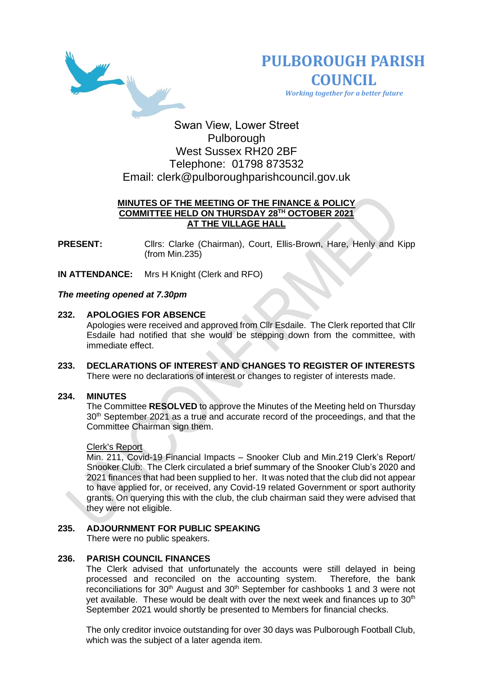



 *Working together for a better future*

# Swan View, Lower Street Pulborough West Sussex RH20 2BF Telephone: 01798 873532 Email: [clerk@pulboroughparishcouncil.gov.uk](mailto:clerk@pulboroughparishcouncil.gov.uk)

# **MINUTES OF THE MEETING OF THE FINANCE & POLICY COMMITTEE HELD ON THURSDAY 28TH OCTOBER 2021 AT THE VILLAGE HALL**

**PRESENT:** Clirs: Clarke (Chairman), Court, Ellis-Brown, Hare, Henly and Kipp (from Min.235)

**IN ATTENDANCE:** Mrs H Knight (Clerk and RFO)

# *The meeting opened at 7.30pm*

# **232. APOLOGIES FOR ABSENCE**

Apologies were received and approved from Cllr Esdaile. The Clerk reported that Cllr Esdaile had notified that she would be stepping down from the committee, with immediate effect.

**233. DECLARATIONS OF INTEREST AND CHANGES TO REGISTER OF INTERESTS** There were no declarations of interest or changes to register of interests made.

### **234. MINUTES**

The Committee **RESOLVED** to approve the Minutes of the Meeting held on Thursday  $30<sup>th</sup>$  September 2021 as a true and accurate record of the proceedings, and that the Committee Chairman sign them.

### Clerk's Report

Min. 211, Covid-19 Financial Impacts – Snooker Club and Min.219 Clerk's Report/ Snooker Club: The Clerk circulated a brief summary of the Snooker Club's 2020 and 2021 finances that had been supplied to her. It was noted that the club did not appear to have applied for, or received, any Covid-19 related Government or sport authority grants. On querying this with the club, the club chairman said they were advised that they were not eligible.

# **235. ADJOURNMENT FOR PUBLIC SPEAKING**

There were no public speakers.

# **236. PARISH COUNCIL FINANCES**

The Clerk advised that unfortunately the accounts were still delayed in being processed and reconciled on the accounting system. Therefore, the bank reconciliations for 30<sup>th</sup> August and 30<sup>th</sup> September for cashbooks 1 and 3 were not yet available. These would be dealt with over the next week and finances up to  $30<sup>th</sup>$ September 2021 would shortly be presented to Members for financial checks.

The only creditor invoice outstanding for over 30 days was Pulborough Football Club, which was the subject of a later agenda item.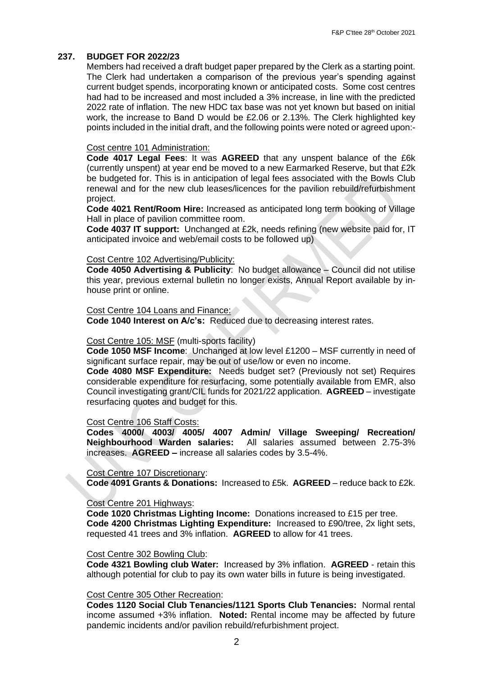#### **237. BUDGET FOR 2022/23**

Members had received a draft budget paper prepared by the Clerk as a starting point. The Clerk had undertaken a comparison of the previous year's spending against current budget spends, incorporating known or anticipated costs. Some cost centres had had to be increased and most included a 3% increase, in line with the predicted 2022 rate of inflation. The new HDC tax base was not yet known but based on initial work, the increase to Band D would be £2.06 or 2.13%. The Clerk highlighted key points included in the initial draft, and the following points were noted or agreed upon:-

#### Cost centre 101 Administration:

**Code 4017 Legal Fees**: It was **AGREED** that any unspent balance of the £6k (currently unspent) at year end be moved to a new Earmarked Reserve, but that £2k be budgeted for. This is in anticipation of legal fees associated with the Bowls Club renewal and for the new club leases/licences for the pavilion rebuild/refurbishment project.

**Code 4021 Rent/Room Hire:** Increased as anticipated long term booking of Village Hall in place of pavilion committee room.

**Code 4037 IT support:** Unchanged at £2k, needs refining (new website paid for, IT anticipated invoice and web/email costs to be followed up)

### Cost Centre 102 Advertising/Publicity:

**Code 4050 Advertising & Publicity**: No budget allowance – Council did not utilise this year, previous external bulletin no longer exists, Annual Report available by inhouse print or online.

#### Cost Centre 104 Loans and Finance:

**Code 1040 Interest on A/c's:** Reduced due to decreasing interest rates.

#### Cost Centre 105: MSF (multi-sports facility)

**Code 1050 MSF Income**: Unchanged at low level £1200 – MSF currently in need of significant surface repair, may be out of use/low or even no income.

**Code 4080 MSF Expenditure:** Needs budget set? (Previously not set) Requires considerable expenditure for resurfacing, some potentially available from EMR, also Council investigating grant/CIL funds for 2021/22 application. **AGREED** – investigate resurfacing quotes and budget for this.

#### Cost Centre 106 Staff Costs:

**Codes 4000/ 4003/ 4005/ 4007 Admin/ Village Sweeping/ Recreation/ Neighbourhood Warden salaries:** All salaries assumed between 2.75-3% increases. **AGREED –** increase all salaries codes by 3.5-4%.

#### Cost Centre 107 Discretionary:

**Code 4091 Grants & Donations:** Increased to £5k. **AGREED** – reduce back to £2k.

#### Cost Centre 201 Highways:

**Code 1020 Christmas Lighting Income:** Donations increased to £15 per tree. **Code 4200 Christmas Lighting Expenditure:** Increased to £90/tree, 2x light sets, requested 41 trees and 3% inflation. **AGREED** to allow for 41 trees.

### Cost Centre 302 Bowling Club:

**Code 4321 Bowling club Water:** Increased by 3% inflation. **AGREED** - retain this although potential for club to pay its own water bills in future is being investigated.

#### Cost Centre 305 Other Recreation:

**Codes 1120 Social Club Tenancies/1121 Sports Club Tenancies:** Normal rental income assumed +3% inflation. **Noted:** Rental income may be affected by future pandemic incidents and/or pavilion rebuild/refurbishment project.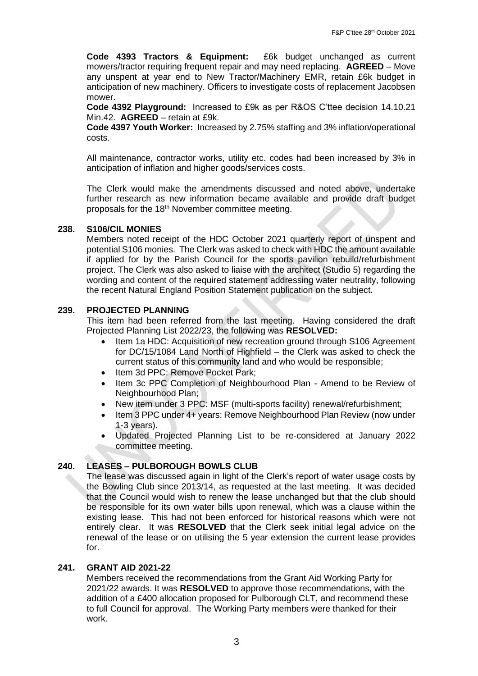**Code 4393 Tractors & Equipment:** £6k budget unchanged as current mowers/tractor requiring frequent repair and may need replacing. **AGREED** – Move any unspent at year end to New Tractor/Machinery EMR, retain £6k budget in anticipation of new machinery. Officers to investigate costs of replacement Jacobsen mower.

**Code 4392 Playground:** Increased to £9k as per R&OS C'ttee decision 14.10.21 Min.42. **AGREED** – retain at £9k.

**Code 4397 Youth Worker:** Increased by 2.75% staffing and 3% inflation/operational costs.

All maintenance, contractor works, utility etc. codes had been increased by 3% in anticipation of inflation and higher goods/services costs.

The Clerk would make the amendments discussed and noted above, undertake further research as new information became available and provide draft budget proposals for the 18<sup>th</sup> November committee meeting.

# **238. S106/CIL MONIES**

Members noted receipt of the HDC October 2021 quarterly report of unspent and potential S106 monies. The Clerk was asked to check with HDC the amount available if applied for by the Parish Council for the sports pavilion rebuild/refurbishment project. The Clerk was also asked to liaise with the architect (Studio 5) regarding the wording and content of the required statement addressing water neutrality, following the recent Natural England Position Statement publication on the subject.

# **239. PROJECTED PLANNING**

This item had been referred from the last meeting. Having considered the draft Projected Planning List 2022/23, the following was **RESOLVED:**

- Item 1a HDC: Acquisition of new recreation ground through S106 Agreement for DC/15/1084 Land North of Highfield – the Clerk was asked to check the current status of this community land and who would be responsible;
- Item 3d PPC: Remove Pocket Park;
- Item 3c PPC Completion of Neighbourhood Plan Amend to be Review of Neighbourhood Plan:
- New item under 3 PPC: MSF (multi-sports facility) renewal/refurbishment;
- Item 3 PPC under 4+ years: Remove Neighbourhood Plan Review (now under 1-3 years).
- Updated Projected Planning List to be re-considered at January 2022 committee meeting.

# **240. LEASES – PULBOROUGH BOWLS CLUB**

The lease was discussed again in light of the Clerk's report of water usage costs by the Bowling Club since 2013/14, as requested at the last meeting. It was decided that the Council would wish to renew the lease unchanged but that the club should be responsible for its own water bills upon renewal, which was a clause within the existing lease. This had not been enforced for historical reasons which were not entirely clear. It was **RESOLVED** that the Clerk seek initial legal advice on the renewal of the lease or on utilising the 5 year extension the current lease provides for.

# **241. GRANT AID 2021-22**

Members received the recommendations from the Grant Aid Working Party for 2021/22 awards. It was **RESOLVED** to approve those recommendations, with the addition of a £400 allocation proposed for Pulborough CLT, and recommend these to full Council for approval. The Working Party members were thanked for their work.